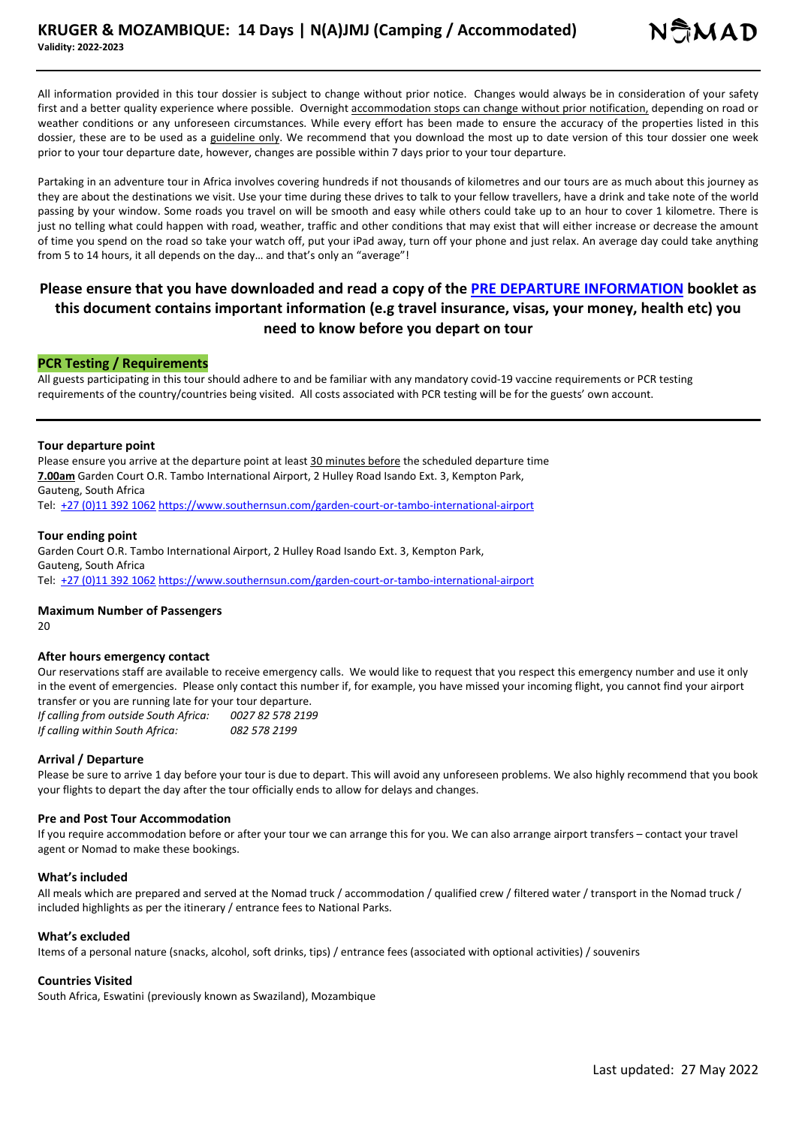All information provided in this tour dossier is subject to change without prior notice. Changes would always be in consideration of your safety first and a better quality experience where possible. Overnight accommodation stops can change without prior notification, depending on road or weather conditions or any unforeseen circumstances. While every effort has been made to ensure the accuracy of the properties listed in this dossier, these are to be used as a guideline only. We recommend that you download the most up to date version of this tour dossier one week prior to your tour departure date, however, changes are possible within 7 days prior to your tour departure.

Partaking in an adventure tour in Africa involves covering hundreds if not thousands of kilometres and our tours are as much about this journey as they are about the destinations we visit. Use your time during these drives to talk to your fellow travellers, have a drink and take note of the world passing by your window. Some roads you travel on will be smooth and easy while others could take up to an hour to cover 1 kilometre. There is just no telling what could happen with road, weather, traffic and other conditions that may exist that will either increase or decrease the amount of time you spend on the road so take your watch off, put your iPad away, turn off your phone and just relax. An average day could take anything from 5 to 14 hours, it all depends on the day… and that's only an "average"!

# **Please ensure that you have downloaded and read a copy of the PRE DEPARTURE INFORMATION booklet as this document contains important information (e.g travel insurance, visas, your money, health etc) you need to know before you depart on tour**

### **PCR Testing / Requirements**

All guests participating in this tour should adhere to and be familiar with any mandatory covid-19 vaccine requirements or PCR testing requirements of the country/countries being visited. All costs associated with PCR testing will be for the guests' own account.

#### **Tour departure point**

Please ensure you arrive at the departure point at least 30 minutes before the scheduled departure time **7.00am** Garden Court O.R. Tambo International Airport, 2 Hulley Road Isando Ext. 3, Kempton Park, Gauteng, South Africa

Tel: +27 (0)11 392 1062 https://www.southernsun.com/garden-court-or-tambo-international-airport

#### **Tour ending point**

Garden Court O.R. Tambo International Airport, 2 Hulley Road Isando Ext. 3, Kempton Park, Gauteng, South Africa Tel: +27 (0)11 392 1062 https://www.southernsun.com/garden-court-or-tambo-international-airport

#### **Maximum Number of Passengers**

 $20$ 

#### **After hours emergency contact**

Our reservations staff are available to receive emergency calls. We would like to request that you respect this emergency number and use it only in the event of emergencies. Please only contact this number if, for example, you have missed your incoming flight, you cannot find your airport transfer or you are running late for your tour departure.

*If calling from outside South Africa: 0027 82 578 2199 If calling within South Africa: 082 578 2199*

#### **Arrival / Departure**

Please be sure to arrive 1 day before your tour is due to depart. This will avoid any unforeseen problems. We also highly recommend that you book your flights to depart the day after the tour officially ends to allow for delays and changes.

#### **Pre and Post Tour Accommodation**

If you require accommodation before or after your tour we can arrange this for you. We can also arrange airport transfers – contact your travel agent or Nomad to make these bookings.

#### **What's included**

All meals which are prepared and served at the Nomad truck / accommodation / qualified crew / filtered water / transport in the Nomad truck / included highlights as per the itinerary / entrance fees to National Parks.

#### **What's excluded**

Items of a personal nature (snacks, alcohol, soft drinks, tips) / entrance fees (associated with optional activities) / souvenirs

# **Countries Visited**

South Africa, Eswatini (previously known as Swaziland), Mozambique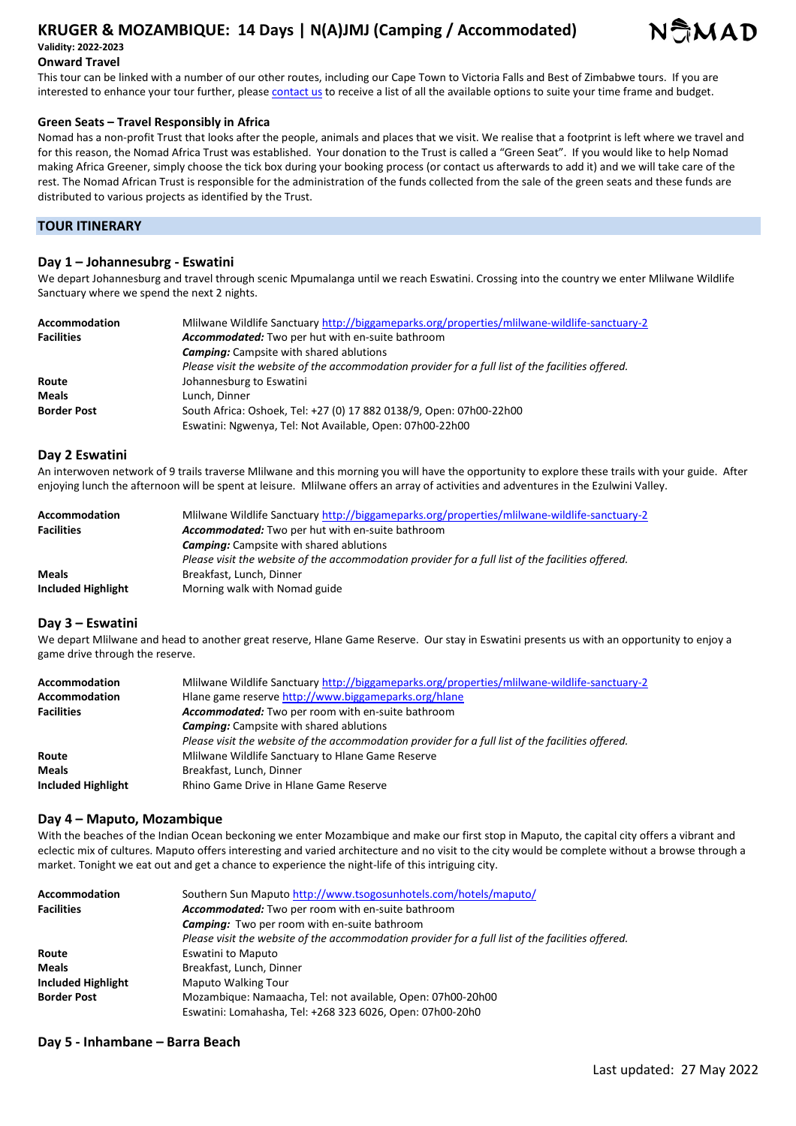# **KRUGER & MOZAMBIQUE: 14 Days | N(A)JMJ (Camping / Accommodated) Validity: 2022-2023**



# **Onward Travel**

This tour can be linked with a number of our other routes, including our Cape Town to Victoria Falls and Best of Zimbabwe tours. If you are interested to enhance your tour further, please contact us to receive a list of all the available options to suite your time frame and budget.

### **Green Seats – Travel Responsibly in Africa**

Nomad has a non-profit Trust that looks after the people, animals and places that we visit. We realise that a footprint is left where we travel and for this reason, the Nomad Africa Trust was established. Your donation to the Trust is called a "Green Seat". If you would like to help Nomad making Africa Greener, simply choose the tick box during your booking process (or contact us afterwards to add it) and we will take care of the rest. The Nomad African Trust is responsible for the administration of the funds collected from the sale of the green seats and these funds are distributed to various projects as identified by the Trust.

# **TOUR ITINERARY**

# **Day 1 – Johannesubrg - Eswatini**

We depart Johannesburg and travel through scenic Mpumalanga until we reach Eswatini. Crossing into the country we enter Mlilwane Wildlife Sanctuary where we spend the next 2 nights.

| Accommodation      | Millwane Wildlife Sanctuary http://biggameparks.org/properties/mlilwane-wildlife-sanctuary-2      |
|--------------------|---------------------------------------------------------------------------------------------------|
| <b>Facilities</b>  | Accommodated: Two per hut with en-suite bathroom                                                  |
|                    | <b>Camping:</b> Campsite with shared ablutions                                                    |
|                    | Please visit the website of the accommodation provider for a full list of the facilities offered. |
| Route              | Johannesburg to Eswatini                                                                          |
| <b>Meals</b>       | Lunch. Dinner                                                                                     |
| <b>Border Post</b> | South Africa: Oshoek, Tel: +27 (0) 17 882 0138/9, Open: 07h00-22h00                               |
|                    | Eswatini: Ngwenya, Tel: Not Available, Open: 07h00-22h00                                          |

### **Day 2 Eswatini**

An interwoven network of 9 trails traverse Mlilwane and this morning you will have the opportunity to explore these trails with your guide. After enjoying lunch the afternoon will be spent at leisure. Mlilwane offers an array of activities and adventures in the Ezulwini Valley.

| Accommodation      | Mlilwane Wildlife Sanctuary http://biggameparks.org/properties/mlilwane-wildlife-sanctuary-2      |
|--------------------|---------------------------------------------------------------------------------------------------|
| <b>Facilities</b>  | Accommodated: Two per hut with en-suite bathroom                                                  |
|                    | <b>Camping:</b> Campsite with shared ablutions                                                    |
|                    | Please visit the website of the accommodation provider for a full list of the facilities offered. |
| <b>Meals</b>       | Breakfast, Lunch, Dinner                                                                          |
| Included Highlight | Morning walk with Nomad guide                                                                     |

# **Day 3 – Eswatini**

We depart Mlilwane and head to another great reserve, Hlane Game Reserve. Our stay in Eswatini presents us with an opportunity to enjoy a game drive through the reserve.

| Accommodation      | Millwane Wildlife Sanctuary http://biggameparks.org/properties/mlilwane-wildlife-sanctuary-2      |
|--------------------|---------------------------------------------------------------------------------------------------|
| Accommodation      | Hlane game reserve http://www.biggameparks.org/hlane                                              |
| <b>Facilities</b>  | Accommodated: Two per room with en-suite bathroom                                                 |
|                    | <b>Camping:</b> Campsite with shared ablutions                                                    |
|                    | Please visit the website of the accommodation provider for a full list of the facilities offered. |
| Route              | Mlilwane Wildlife Sanctuary to Hlane Game Reserve                                                 |
| <b>Meals</b>       | Breakfast, Lunch, Dinner                                                                          |
| Included Highlight | Rhino Game Drive in Hlane Game Reserve                                                            |

#### **Day 4 – Maputo, Mozambique**

With the beaches of the Indian Ocean beckoning we enter Mozambique and make our first stop in Maputo, the capital city offers a vibrant and eclectic mix of cultures. Maputo offers interesting and varied architecture and no visit to the city would be complete without a browse through a market. Tonight we eat out and get a chance to experience the night-life of this intriguing city.

| Accommodation      | Southern Sun Maputo http://www.tsogosunhotels.com/hotels/maputo/                                  |
|--------------------|---------------------------------------------------------------------------------------------------|
| <b>Facilities</b>  | Accommodated: Two per room with en-suite bathroom                                                 |
|                    | <b>Camping:</b> Two per room with en-suite bathroom                                               |
|                    | Please visit the website of the accommodation provider for a full list of the facilities offered. |
| Route              | <b>Eswatini to Maputo</b>                                                                         |
| <b>Meals</b>       | Breakfast, Lunch, Dinner                                                                          |
| Included Highlight | <b>Maputo Walking Tour</b>                                                                        |
| <b>Border Post</b> | Mozambique: Namaacha, Tel: not available, Open: 07h00-20h00                                       |
|                    | Eswatini: Lomahasha, Tel: +268 323 6026, Open: 07h00-20h0                                         |

# **Day 5 - Inhambane – Barra Beach**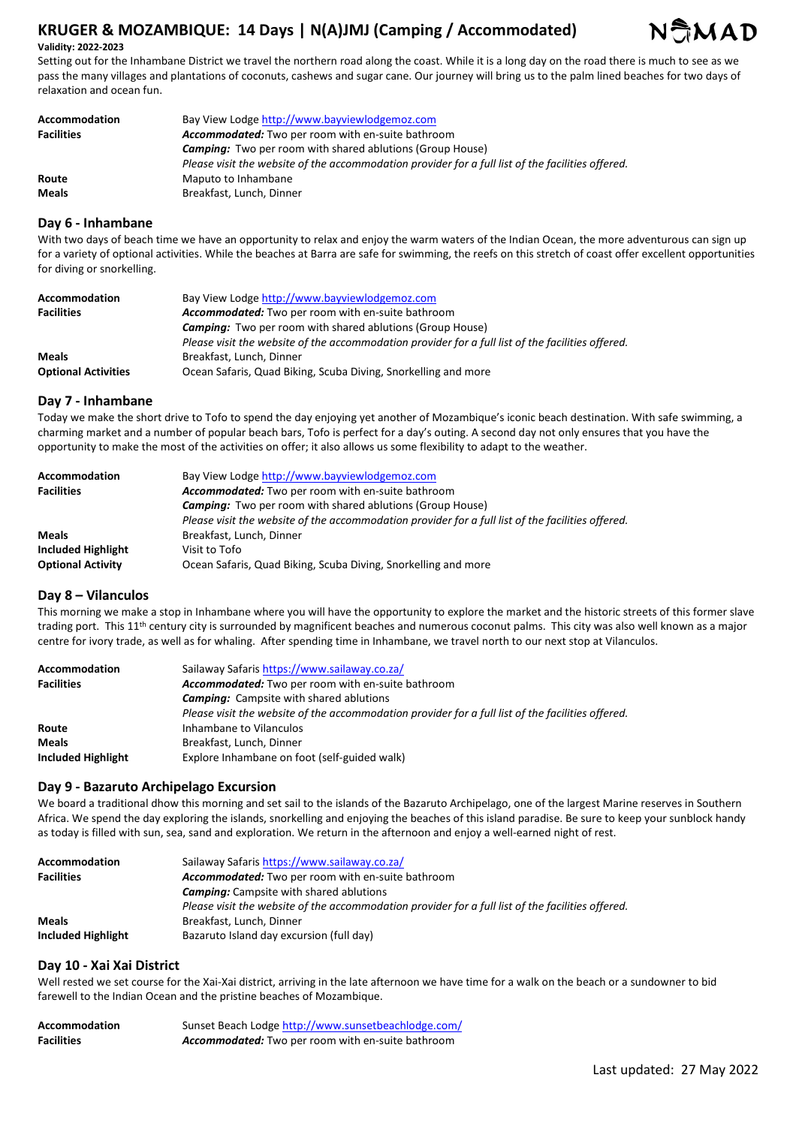# **KRUGER & MOZAMBIQUE: 14 Days | N(A)JMJ (Camping / Accommodated)**



#### **Validity: 2022-2023**

Setting out for the Inhambane District we travel the northern road along the coast. While it is a long day on the road there is much to see as we pass the many villages and plantations of coconuts, cashews and sugar cane. Our journey will bring us to the palm lined beaches for two days of relaxation and ocean fun.

| Accommodation     | Bay View Lodge http://www.bayviewlodgemoz.com                                                     |
|-------------------|---------------------------------------------------------------------------------------------------|
| <b>Facilities</b> | Accommodated: Two per room with en-suite bathroom                                                 |
|                   | <b>Camping:</b> Two per room with shared ablutions (Group House)                                  |
|                   | Please visit the website of the accommodation provider for a full list of the facilities offered. |
| Route             | Maputo to Inhambane                                                                               |
| <b>Meals</b>      | Breakfast, Lunch, Dinner                                                                          |

### **Day 6 - Inhambane**

With two days of beach time we have an opportunity to relax and enjoy the warm waters of the Indian Ocean, the more adventurous can sign up for a variety of optional activities. While the beaches at Barra are safe for swimming, the reefs on this stretch of coast offer excellent opportunities for diving or snorkelling.

| Accommodation              | Bay View Lodge http://www.bayviewlodgemoz.com                                                     |
|----------------------------|---------------------------------------------------------------------------------------------------|
| <b>Facilities</b>          | <b>Accommodated:</b> Two per room with en-suite bathroom                                          |
|                            | <b>Camping:</b> Two per room with shared ablutions (Group House)                                  |
|                            | Please visit the website of the accommodation provider for a full list of the facilities offered. |
| <b>Meals</b>               | Breakfast, Lunch, Dinner                                                                          |
| <b>Optional Activities</b> | Ocean Safaris, Quad Biking, Scuba Diving, Snorkelling and more                                    |

#### **Day 7 - Inhambane**

Today we make the short drive to Tofo to spend the day enjoying yet another of Mozambique's iconic beach destination. With safe swimming, a charming market and a number of popular beach bars, Tofo is perfect for a day's outing. A second day not only ensures that you have the opportunity to make the most of the activities on offer; it also allows us some flexibility to adapt to the weather.

| Accommodation            | Bay View Lodge http://www.bayviewlodgemoz.com                                                     |
|--------------------------|---------------------------------------------------------------------------------------------------|
| <b>Facilities</b>        | Accommodated: Two per room with en-suite bathroom                                                 |
|                          | <b>Camping:</b> Two per room with shared ablutions (Group House)                                  |
|                          | Please visit the website of the accommodation provider for a full list of the facilities offered. |
| <b>Meals</b>             | Breakfast, Lunch, Dinner                                                                          |
| Included Highlight       | Visit to Tofo                                                                                     |
| <b>Optional Activity</b> | Ocean Safaris, Quad Biking, Scuba Diving, Snorkelling and more                                    |

# **Day 8 – Vilanculos**

This morning we make a stop in Inhambane where you will have the opportunity to explore the market and the historic streets of this former slave trading port. This 11<sup>th</sup> century city is surrounded by magnificent beaches and numerous coconut palms. This city was also well known as a major centre for ivory trade, as well as for whaling. After spending time in Inhambane, we travel north to our next stop at Vilanculos.

| <b>Accommodation</b> | Sailaway Safaris https://www.sailaway.co.za/                                                      |
|----------------------|---------------------------------------------------------------------------------------------------|
| <b>Facilities</b>    | Accommodated: Two per room with en-suite bathroom                                                 |
|                      | <b>Camping:</b> Campsite with shared ablutions                                                    |
|                      | Please visit the website of the accommodation provider for a full list of the facilities offered. |
| Route                | Inhambane to Vilanculos                                                                           |
| <b>Meals</b>         | Breakfast, Lunch, Dinner                                                                          |
| Included Highlight   | Explore Inhambane on foot (self-guided walk)                                                      |

# **Day 9 - Bazaruto Archipelago Excursion**

We board a traditional dhow this morning and set sail to the islands of the Bazaruto Archipelago, one of the largest Marine reserves in Southern Africa. We spend the day exploring the islands, snorkelling and enjoying the beaches of this island paradise. Be sure to keep your sunblock handy as today is filled with sun, sea, sand and exploration. We return in the afternoon and enjoy a well-earned night of rest.

| Accommodation      | Sailaway Safaris https://www.sailaway.co.za/                                                      |
|--------------------|---------------------------------------------------------------------------------------------------|
| <b>Facilities</b>  | Accommodated: Two per room with en-suite bathroom                                                 |
|                    | <b>Camping:</b> Campsite with shared ablutions                                                    |
|                    | Please visit the website of the accommodation provider for a full list of the facilities offered. |
| <b>Meals</b>       | Breakfast, Lunch, Dinner                                                                          |
| Included Highlight | Bazaruto Island day excursion (full day)                                                          |

#### **Day 10 - Xai Xai District**

Well rested we set course for the Xai-Xai district, arriving in the late afternoon we have time for a walk on the beach or a sundowner to bid farewell to the Indian Ocean and the pristine beaches of Mozambique.

| Accommodation     | Sunset Beach Lodge http://www.sunsetbeachlodge.com/      |
|-------------------|----------------------------------------------------------|
| <b>Facilities</b> | <b>Accommodated:</b> Two per room with en-suite bathroom |